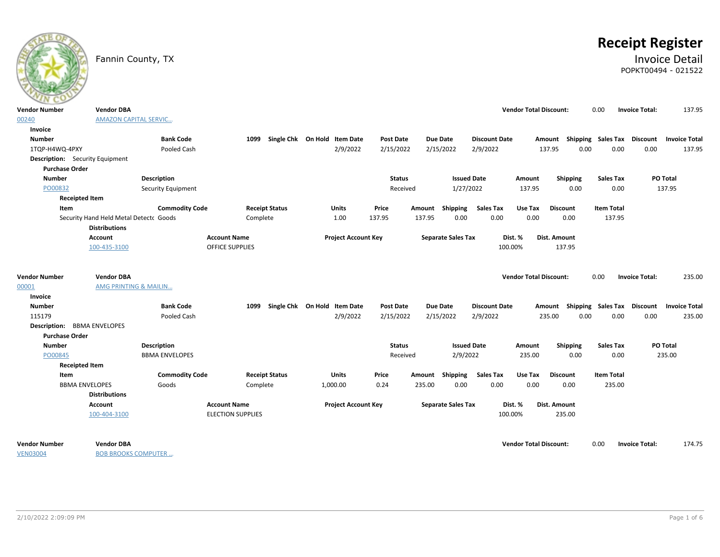# **Receipt Register**

### Fannin County, TX **Invoice Detail** POPKT00494 - 021522

| $\sim$                                          |                                                                |                           |                          |                                   |          |                            |                  |        |                           |                      |                               |                                    |                   |                       |                      |
|-------------------------------------------------|----------------------------------------------------------------|---------------------------|--------------------------|-----------------------------------|----------|----------------------------|------------------|--------|---------------------------|----------------------|-------------------------------|------------------------------------|-------------------|-----------------------|----------------------|
| <b>Vendor Number</b>                            | <b>Vendor DBA</b>                                              |                           |                          |                                   |          |                            |                  |        |                           |                      | <b>Vendor Total Discount:</b> |                                    | 0.00              | <b>Invoice Total:</b> | 137.95               |
| 00240                                           | <b>AMAZON CAPITAL SERVIC</b>                                   |                           |                          |                                   |          |                            |                  |        |                           |                      |                               |                                    |                   |                       |                      |
| Invoice                                         |                                                                |                           |                          |                                   |          |                            |                  |        |                           |                      |                               |                                    |                   |                       |                      |
| <b>Number</b>                                   |                                                                | <b>Bank Code</b>          |                          | 1099 Single Chk On Hold Item Date |          |                            | <b>Post Date</b> |        | <b>Due Date</b>           | <b>Discount Date</b> |                               | Amount Shipping Sales Tax Discount |                   |                       | <b>Invoice Total</b> |
| 1TQP-H4WQ-4PXY                                  |                                                                | Pooled Cash               |                          |                                   |          | 2/9/2022                   | 2/15/2022        |        | 2/15/2022                 | 2/9/2022             |                               | 0.00<br>137.95                     | 0.00              | 0.00                  | 137.95               |
| <b>Description:</b> Security Equipment          |                                                                |                           |                          |                                   |          |                            |                  |        |                           |                      |                               |                                    |                   |                       |                      |
| <b>Purchase Order</b>                           |                                                                |                           |                          |                                   |          |                            |                  |        |                           |                      |                               |                                    |                   |                       |                      |
| <b>Number</b>                                   |                                                                | <b>Description</b>        |                          |                                   |          |                            | <b>Status</b>    |        | <b>Issued Date</b>        |                      | Amount                        | Shipping                           | <b>Sales Tax</b>  |                       | PO Total             |
| PO00832                                         |                                                                | <b>Security Equipment</b> |                          |                                   |          |                            | Received         |        | 1/27/2022                 |                      | 137.95                        | 0.00                               | 0.00              |                       | 137.95               |
| <b>Receipted Item</b>                           |                                                                |                           |                          |                                   |          |                            |                  |        |                           |                      |                               |                                    |                   |                       |                      |
| Item                                            |                                                                | <b>Commodity Code</b>     |                          | <b>Receipt Status</b>             |          | Units                      | Price            |        | Amount Shipping           | <b>Sales Tax</b>     | Use Tax                       | <b>Discount</b>                    | <b>Item Total</b> |                       |                      |
|                                                 | Security Hand Held Metal Detectc Goods<br><b>Distributions</b> |                           | Complete                 |                                   |          | 1.00                       | 137.95           | 137.95 | 0.00                      | 0.00                 | 0.00                          | 0.00                               | 137.95            |                       |                      |
|                                                 | Account                                                        |                           | <b>Account Name</b>      |                                   |          | <b>Project Account Key</b> |                  |        | <b>Separate Sales Tax</b> |                      | Dist. %                       | Dist. Amount                       |                   |                       |                      |
|                                                 | 100-435-3100                                                   |                           | <b>OFFICE SUPPLIES</b>   |                                   |          |                            |                  |        |                           | 100.00%              |                               | 137.95                             |                   |                       |                      |
| <b>Vendor Number</b><br>00001<br><b>Invoice</b> | <b>Vendor DBA</b><br>AMG PRINTING & MAILIN                     |                           |                          |                                   |          |                            |                  |        |                           |                      | <b>Vendor Total Discount:</b> |                                    | 0.00              | <b>Invoice Total:</b> | 235.00               |
| <b>Number</b>                                   |                                                                | <b>Bank Code</b>          | 1099                     | Single Chk On Hold Item Date      |          |                            | <b>Post Date</b> |        | <b>Due Date</b>           | <b>Discount Date</b> |                               | Amount Shipping Sales Tax Discount |                   |                       | <b>Invoice Total</b> |
| 115179                                          |                                                                | Pooled Cash               |                          |                                   |          | 2/9/2022                   | 2/15/2022        |        | 2/15/2022                 | 2/9/2022             |                               | 235.00<br>0.00                     | 0.00              | 0.00                  | 235.00               |
| <b>Description: BBMA ENVELOPES</b>              |                                                                |                           |                          |                                   |          |                            |                  |        |                           |                      |                               |                                    |                   |                       |                      |
| <b>Purchase Order</b>                           |                                                                |                           |                          |                                   |          |                            |                  |        |                           |                      |                               |                                    |                   |                       |                      |
| <b>Number</b>                                   |                                                                | <b>Description</b>        |                          |                                   |          |                            | <b>Status</b>    |        | <b>Issued Date</b>        |                      | Amount                        | <b>Shipping</b>                    | <b>Sales Tax</b>  |                       | PO Total             |
| PO00845                                         |                                                                | <b>BBMA ENVELOPES</b>     |                          |                                   |          |                            | Received         |        | 2/9/2022                  |                      | 235.00                        | 0.00                               | 0.00              |                       | 235.00               |
| <b>Receipted Item</b>                           |                                                                |                           |                          |                                   |          |                            |                  |        |                           |                      |                               |                                    |                   |                       |                      |
| Item                                            |                                                                | <b>Commodity Code</b>     |                          | <b>Receipt Status</b>             |          | <b>Units</b>               | Price            |        | Amount Shipping           | <b>Sales Tax</b>     | Use Tax                       | <b>Discount</b>                    | <b>Item Total</b> |                       |                      |
| <b>BBMA ENVELOPES</b>                           |                                                                | Goods                     | Complete                 |                                   | 1,000.00 |                            | 0.24             | 235.00 | 0.00                      | 0.00                 | 0.00                          | 0.00                               | 235.00            |                       |                      |
|                                                 | <b>Distributions</b>                                           |                           |                          |                                   |          |                            |                  |        |                           |                      |                               |                                    |                   |                       |                      |
|                                                 | Account                                                        |                           | <b>Account Name</b>      |                                   |          | <b>Project Account Key</b> |                  |        | <b>Separate Sales Tax</b> |                      | Dist. %                       | Dist. Amount                       |                   |                       |                      |
|                                                 | 100-404-3100                                                   |                           | <b>ELECTION SUPPLIES</b> |                                   |          |                            |                  |        |                           | 100.00%              |                               | 235.00                             |                   |                       |                      |
| <b>Vendor Number</b>                            | <b>Vendor DBA</b>                                              |                           |                          |                                   |          |                            |                  |        |                           |                      | <b>Vendor Total Discount:</b> |                                    | 0.00              | <b>Invoice Total:</b> | 174.75               |

VEN03004

BOB BROOKS COMPUTER …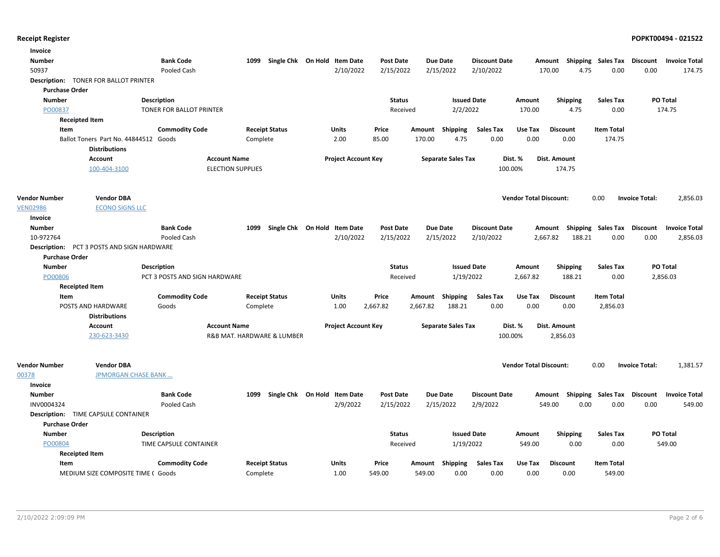| Invoice               |                                                               |                               |                            |                              |                            |                           |                      |                               |                                    |                   |                       |                      |
|-----------------------|---------------------------------------------------------------|-------------------------------|----------------------------|------------------------------|----------------------------|---------------------------|----------------------|-------------------------------|------------------------------------|-------------------|-----------------------|----------------------|
| Number                |                                                               | <b>Bank Code</b>              | 1099                       | Single Chk On Hold Item Date | Post Date                  | <b>Due Date</b>           | <b>Discount Date</b> |                               | Amount Shipping Sales Tax          |                   | Discount              | <b>Invoice Total</b> |
| 50937                 |                                                               | Pooled Cash                   |                            |                              | 2/10/2022<br>2/15/2022     | 2/15/2022                 | 2/10/2022            | 170.00                        | 4.75                               | 0.00              | 0.00                  | 174.75               |
|                       | <b>Description: TONER FOR BALLOT PRINTER</b>                  |                               |                            |                              |                            |                           |                      |                               |                                    |                   |                       |                      |
| <b>Purchase Order</b> |                                                               |                               |                            |                              |                            |                           |                      |                               |                                    |                   |                       |                      |
| Number                |                                                               | <b>Description</b>            |                            |                              | <b>Status</b>              |                           | <b>Issued Date</b>   | Amount                        | Shipping                           | <b>Sales Tax</b>  |                       | <b>PO Total</b>      |
| PO00837               |                                                               | TONER FOR BALLOT PRINTER      |                            |                              | Received                   |                           | 2/2/2022             | 170.00                        | 4.75                               | 0.00              |                       | 174.75               |
|                       | <b>Receipted Item</b>                                         |                               |                            |                              |                            |                           |                      |                               |                                    |                   |                       |                      |
| Item                  |                                                               | <b>Commodity Code</b>         | <b>Receipt Status</b>      | Units                        | Price                      | Shipping<br>Amount        | <b>Sales Tax</b>     | Use Tax                       | <b>Discount</b>                    | <b>Item Total</b> |                       |                      |
|                       | Ballot Toners Part No. 44844512 Goods<br><b>Distributions</b> |                               | Complete                   | 2.00                         | 85.00                      | 170.00                    | 0.00<br>4.75         | 0.00                          | 0.00                               | 174.75            |                       |                      |
|                       | <b>Account</b>                                                | <b>Account Name</b>           |                            |                              | <b>Project Account Key</b> | <b>Separate Sales Tax</b> |                      | Dist. %<br>Dist. Amount       |                                    |                   |                       |                      |
|                       | 100-404-3100                                                  | <b>ELECTION SUPPLIES</b>      |                            |                              |                            |                           |                      | 100.00%                       | 174.75                             |                   |                       |                      |
| <b>Vendor Number</b>  | <b>Vendor DBA</b>                                             |                               |                            |                              |                            |                           |                      | <b>Vendor Total Discount:</b> |                                    | 0.00              | <b>Invoice Total:</b> | 2,856.03             |
| <b>VEN02986</b>       | <b>ECONO SIGNS LLC</b>                                        |                               |                            |                              |                            |                           |                      |                               |                                    |                   |                       |                      |
| Invoice               |                                                               |                               |                            |                              |                            |                           |                      |                               |                                    |                   |                       |                      |
| <b>Number</b>         |                                                               | <b>Bank Code</b>              | 1099                       | Single Chk On Hold Item Date | <b>Post Date</b>           | <b>Due Date</b>           | <b>Discount Date</b> |                               | Amount Shipping Sales Tax Discount |                   |                       | <b>Invoice Total</b> |
| 10-972764             |                                                               | Pooled Cash                   |                            |                              | 2/10/2022<br>2/15/2022     | 2/15/2022                 | 2/10/2022            | 2,667.82                      | 188.21                             | 0.00              | 0.00                  | 2,856.03             |
| <b>Purchase Order</b> | <b>Description:</b> PCT 3 POSTS AND SIGN HARDWARE             |                               |                            |                              |                            |                           |                      |                               |                                    |                   |                       |                      |
| <b>Number</b>         |                                                               | <b>Description</b>            |                            |                              | <b>Status</b>              |                           | <b>Issued Date</b>   | Amount                        | <b>Shipping</b>                    | Sales Tax         |                       | PO Total             |
| PO00806               |                                                               | PCT 3 POSTS AND SIGN HARDWARE |                            |                              | Received                   |                           | 1/19/2022            | 2,667.82                      | 188.21                             | 0.00              |                       | 2,856.03             |
|                       | <b>Receipted Item</b>                                         |                               |                            |                              |                            |                           |                      |                               |                                    |                   |                       |                      |
| Item                  |                                                               | <b>Commodity Code</b>         | <b>Receipt Status</b>      | Units                        | Price                      | Amount<br>Shipping        | <b>Sales Tax</b>     | Use Tax                       | <b>Discount</b>                    | <b>Item Total</b> |                       |                      |
|                       | POSTS AND HARDWARE                                            | Goods                         | Complete                   | 1.00                         | 2,667.82                   | 2,667.82<br>188.21        | 0.00                 | 0.00                          | 0.00                               | 2,856.03          |                       |                      |
|                       | <b>Distributions</b>                                          |                               |                            |                              |                            |                           |                      |                               |                                    |                   |                       |                      |
|                       | <b>Account</b>                                                | <b>Account Name</b>           |                            |                              | <b>Project Account Key</b> | <b>Separate Sales Tax</b> |                      | Dist. %<br>Dist. Amount       |                                    |                   |                       |                      |
|                       | 230-623-3430                                                  |                               | R&B MAT. HARDWARE & LUMBER |                              |                            |                           |                      | 100.00%                       | 2,856.03                           |                   |                       |                      |
| <b>Vendor Number</b>  | <b>Vendor DBA</b>                                             |                               |                            |                              |                            |                           |                      | <b>Vendor Total Discount:</b> |                                    | 0.00              | <b>Invoice Total:</b> | 1,381.57             |
| 00378                 | <b>JPMORGAN CHASE BANK</b>                                    |                               |                            |                              |                            |                           |                      |                               |                                    |                   |                       |                      |
| Invoice               |                                                               |                               |                            |                              |                            |                           |                      |                               |                                    |                   |                       |                      |
| Number                |                                                               | <b>Bank Code</b>              | 1099                       | Single Chk On Hold Item Date | <b>Post Date</b>           | <b>Due Date</b>           | <b>Discount Date</b> |                               | Amount Shipping Sales Tax Discount |                   |                       | <b>Invoice Total</b> |
| INV0004324            |                                                               | Pooled Cash                   |                            | 2/9/2022                     | 2/15/2022                  | 2/15/2022                 | 2/9/2022             | 549.00                        | 0.00                               | 0.00              | 0.00                  | 549.00               |
|                       | <b>Description:</b> TIME CAPSULE CONTAINER                    |                               |                            |                              |                            |                           |                      |                               |                                    |                   |                       |                      |
| <b>Purchase Order</b> |                                                               |                               |                            |                              |                            |                           |                      |                               |                                    |                   |                       |                      |
| <b>Number</b>         |                                                               | <b>Description</b>            |                            |                              | <b>Status</b>              |                           | <b>Issued Date</b>   | Amount                        | <b>Shipping</b>                    | Sales Tax         |                       | PO Total             |
| PO00804               |                                                               | TIME CAPSULE CONTAINER        |                            |                              | Received                   |                           | 1/19/2022            | 549.00                        | 0.00                               | 0.00              |                       | 549.00               |
|                       | <b>Receipted Item</b>                                         |                               |                            |                              |                            |                           |                      |                               |                                    |                   |                       |                      |
| Item                  |                                                               | <b>Commodity Code</b>         | <b>Receipt Status</b>      | Units                        | Price                      | Amount<br>Shipping        | <b>Sales Tax</b>     | Use Tax                       | <b>Discount</b>                    | <b>Item Total</b> |                       |                      |
|                       | MEDIUM SIZE COMPOSITE TIME (Goods)                            |                               | Complete                   | 1.00                         | 549.00                     | 549.00                    | 0.00<br>0.00         | 0.00                          | 0.00                               | 549.00            |                       |                      |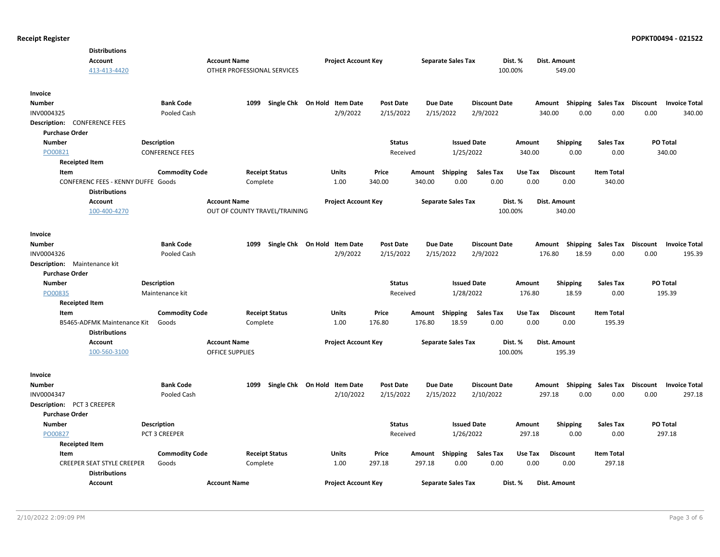| <b>Distributions</b>                     |                                              |                               |                              |                           |                 |                           |                      |                  |                         |                           |          |                                |
|------------------------------------------|----------------------------------------------|-------------------------------|------------------------------|---------------------------|-----------------|---------------------------|----------------------|------------------|-------------------------|---------------------------|----------|--------------------------------|
| <b>Account</b>                           | <b>Account Name</b>                          |                               | <b>Project Account Key</b>   |                           |                 | <b>Separate Sales Tax</b> | Dist. %              |                  | Dist. Amount            |                           |          |                                |
| 413-413-4420                             |                                              | OTHER PROFESSIONAL SERVICES   |                              |                           |                 |                           | 100.00%              |                  | 549.00                  |                           |          |                                |
|                                          |                                              |                               |                              |                           |                 |                           |                      |                  |                         |                           |          |                                |
| Invoice                                  |                                              |                               |                              |                           |                 |                           |                      |                  |                         |                           |          |                                |
| <b>Number</b>                            | <b>Bank Code</b>                             | 1099                          | Single Chk On Hold Item Date | <b>Post Date</b>          | <b>Due Date</b> |                           | <b>Discount Date</b> |                  | Amount<br>Shipping      | <b>Sales Tax Discount</b> |          | <b>Invoice Total</b>           |
| INV0004325                               | Pooled Cash                                  |                               | 2/9/2022                     | 2/15/2022                 | 2/15/2022       |                           | 2/9/2022             |                  | 340.00<br>0.00          | 0.00                      | 0.00     | 340.00                         |
| Description:<br><b>CONFERENCE FEES</b>   |                                              |                               |                              |                           |                 |                           |                      |                  |                         |                           |          |                                |
| <b>Purchase Order</b>                    |                                              |                               |                              |                           |                 | <b>Issued Date</b>        |                      |                  |                         |                           | PO Total |                                |
| Number<br>PO00821                        | <b>Description</b><br><b>CONFERENCE FEES</b> |                               |                              | <b>Status</b><br>Received |                 | 1/25/2022                 |                      | Amount<br>340.00 | <b>Shipping</b><br>0.00 | Sales Tax<br>0.00         | 340.00   |                                |
| <b>Receipted Item</b>                    |                                              |                               |                              |                           |                 |                           |                      |                  |                         |                           |          |                                |
| Item                                     | <b>Commodity Code</b>                        | <b>Receipt Status</b>         | <b>Units</b>                 | Price                     | Amount          | Shipping                  | <b>Sales Tax</b>     | Use Tax          | <b>Discount</b>         | <b>Item Total</b>         |          |                                |
| CONFERENC FEES - KENNY DUFFE Goods       |                                              | Complete                      | 1.00                         | 340.00                    | 340.00          | 0.00                      | 0.00                 | 0.00             | 0.00                    | 340.00                    |          |                                |
| <b>Distributions</b>                     |                                              |                               |                              |                           |                 |                           |                      |                  |                         |                           |          |                                |
| <b>Account</b>                           | <b>Account Name</b>                          |                               | <b>Project Account Key</b>   |                           |                 | <b>Separate Sales Tax</b> | Dist. %              |                  | Dist. Amount            |                           |          |                                |
| 100-400-4270                             |                                              | OUT OF COUNTY TRAVEL/TRAINING |                              |                           |                 |                           | 100.00%              |                  | 340.00                  |                           |          |                                |
|                                          |                                              |                               |                              |                           |                 |                           |                      |                  |                         |                           |          |                                |
| Invoice                                  |                                              |                               |                              |                           |                 |                           |                      |                  |                         |                           |          |                                |
| <b>Number</b>                            | <b>Bank Code</b>                             | 1099                          | Single Chk On Hold Item Date | <b>Post Date</b>          | <b>Due Date</b> |                           | <b>Discount Date</b> |                  | Amount Shipping         | Sales Tax Discount        |          | <b>Invoice Total</b>           |
| INV0004326                               | Pooled Cash                                  |                               | 2/9/2022                     | 2/15/2022                 | 2/15/2022       |                           | 2/9/2022             |                  | 176.80<br>18.59         | 0.00                      | 0.00     | 195.39                         |
| Description:<br>Maintenance kit          |                                              |                               |                              |                           |                 |                           |                      |                  |                         |                           |          |                                |
| <b>Purchase Order</b>                    |                                              |                               |                              |                           |                 |                           |                      |                  |                         |                           |          |                                |
| <b>Number</b>                            | <b>Description</b>                           |                               |                              | <b>Status</b>             |                 | <b>Issued Date</b>        |                      | Amount           | <b>Shipping</b>         | <b>Sales Tax</b>          | PO Total |                                |
| PO00835                                  | Maintenance kit                              |                               |                              | Received                  |                 | 1/28/2022                 |                      | 176.80           | 18.59                   | 0.00                      | 195.39   |                                |
| <b>Receipted Item</b>                    |                                              |                               |                              |                           |                 |                           |                      |                  |                         |                           |          |                                |
| Item                                     | <b>Commodity Code</b>                        | <b>Receipt Status</b>         | <b>Units</b>                 | Price                     | Amount          | Shipping                  | <b>Sales Tax</b>     | Use Tax          | <b>Discount</b>         | <b>Item Total</b>         |          |                                |
| B5465-ADFMK Maintenance Kit              | Goods                                        | Complete                      | 1.00                         | 176.80                    | 176.80          | 18.59                     | 0.00                 | 0.00             | 0.00                    | 195.39                    |          |                                |
| <b>Distributions</b>                     |                                              |                               |                              |                           |                 |                           |                      |                  |                         |                           |          |                                |
| <b>Account</b>                           | <b>Account Name</b>                          |                               | <b>Project Account Key</b>   |                           |                 | <b>Separate Sales Tax</b> | Dist. %              |                  | Dist. Amount            |                           |          |                                |
| 100-560-3100                             |                                              | <b>OFFICE SUPPLIES</b>        |                              |                           |                 |                           | 100.00%              |                  | 195.39                  |                           |          |                                |
|                                          |                                              |                               |                              |                           |                 |                           |                      |                  |                         |                           |          |                                |
| Invoice                                  |                                              |                               |                              |                           |                 |                           |                      |                  |                         |                           |          |                                |
| Number                                   | <b>Bank Code</b>                             | 1099                          | Single Chk On Hold Item Date | <b>Post Date</b>          | <b>Due Date</b> |                           | <b>Discount Date</b> |                  | Shipping<br>Amount      | Sales Tax                 | Discount | <b>Invoice Total</b><br>297.18 |
| INV0004347<br>Description: PCT 3 CREEPER | Pooled Cash                                  |                               | 2/10/2022                    | 2/15/2022                 |                 | 2/15/2022                 | 2/10/2022            |                  | 297.18<br>0.00          | 0.00                      | 0.00     |                                |
| <b>Purchase Order</b>                    |                                              |                               |                              |                           |                 |                           |                      |                  |                         |                           |          |                                |
| <b>Number</b>                            | <b>Description</b>                           |                               |                              | Status                    |                 | <b>Issued Date</b>        |                      | Amount           | Shipping                | <b>Sales Tax</b>          | PO Total |                                |
| PO00827                                  | PCT 3 CREEPER                                |                               |                              | Received                  |                 | 1/26/2022                 |                      | 297.18           | 0.00                    | 0.00                      | 297.18   |                                |
| <b>Receipted Item</b>                    |                                              |                               |                              |                           |                 |                           |                      |                  |                         |                           |          |                                |
| Item                                     | <b>Commodity Code</b>                        | <b>Receipt Status</b>         | Units                        | Price                     | Amount          | Shipping                  | <b>Sales Tax</b>     | Use Tax          | <b>Discount</b>         | <b>Item Total</b>         |          |                                |
| <b>CREEPER SEAT STYLE CREEPER</b>        | Goods                                        | Complete                      | 1.00                         | 297.18                    | 297.18          | 0.00                      | 0.00                 | 0.00             | 0.00                    | 297.18                    |          |                                |
| <b>Distributions</b>                     |                                              |                               |                              |                           |                 |                           |                      |                  |                         |                           |          |                                |
| Account                                  | <b>Account Name</b>                          |                               | <b>Project Account Key</b>   |                           |                 | <b>Separate Sales Tax</b> | Dist. %              |                  | Dist. Amount            |                           |          |                                |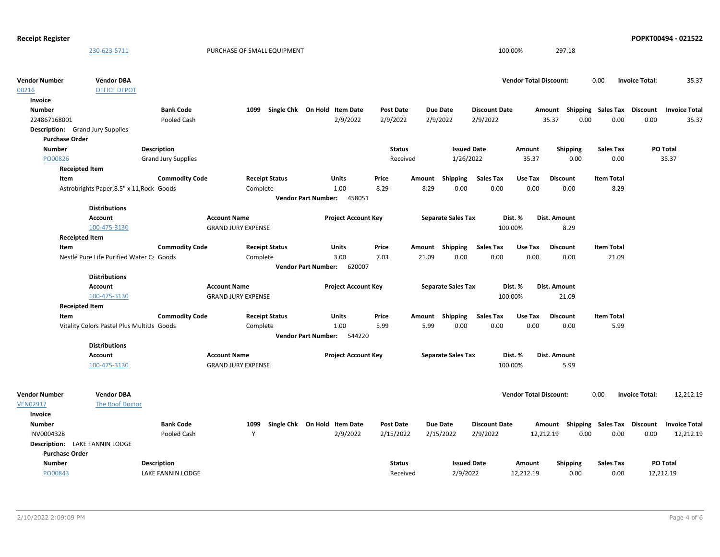| <b>Receipt Register</b> |                                           |                            |                                                  |                              |                            |                            |                  |        |                           |                          |                               |                              |                             |                       | POPKT00494 - 021522  |
|-------------------------|-------------------------------------------|----------------------------|--------------------------------------------------|------------------------------|----------------------------|----------------------------|------------------|--------|---------------------------|--------------------------|-------------------------------|------------------------------|-----------------------------|-----------------------|----------------------|
|                         | 230-623-5711                              |                            | PURCHASE OF SMALL EQUIPMENT                      |                              |                            |                            |                  |        |                           |                          | 100.00%                       | 297.18                       |                             |                       |                      |
| <b>Vendor Number</b>    | <b>Vendor DBA</b>                         |                            |                                                  |                              |                            |                            |                  |        |                           |                          | <b>Vendor Total Discount:</b> |                              | 0.00                        | <b>Invoice Total:</b> | 35.37                |
| 00216                   | <b>OFFICE DEPOT</b>                       |                            |                                                  |                              |                            |                            |                  |        |                           |                          |                               |                              |                             |                       |                      |
| Invoice                 |                                           |                            |                                                  |                              |                            |                            |                  |        |                           |                          |                               |                              |                             |                       |                      |
| <b>Number</b>           |                                           | <b>Bank Code</b>           | 1099                                             | Single Chk On Hold Item Date |                            |                            | <b>Post Date</b> |        | <b>Due Date</b>           | <b>Discount Date</b>     |                               | Amount                       | Shipping Sales Tax Discount |                       | <b>Invoice Total</b> |
| 224867168001            |                                           | Pooled Cash                |                                                  |                              |                            | 2/9/2022                   | 2/9/2022         |        | 2/9/2022                  | 2/9/2022                 |                               | 35.37                        | 0.00<br>0.00                | 0.00                  | 35.37                |
|                         | <b>Description:</b> Grand Jury Supplies   |                            |                                                  |                              |                            |                            |                  |        |                           |                          |                               |                              |                             |                       |                      |
| <b>Purchase Order</b>   |                                           |                            |                                                  |                              |                            |                            |                  |        |                           |                          |                               |                              |                             |                       |                      |
| <b>Number</b>           |                                           | <b>Description</b>         |                                                  |                              |                            |                            | <b>Status</b>    |        | <b>Issued Date</b>        |                          | Amount                        | <b>Shipping</b>              | <b>Sales Tax</b>            |                       | <b>PO Total</b>      |
| PO00826                 |                                           | <b>Grand Jury Supplies</b> |                                                  |                              |                            |                            | Received         |        | 1/26/2022                 |                          | 35.37                         | 0.00                         | 0.00                        |                       | 35.37                |
|                         | <b>Receipted Item</b>                     |                            |                                                  |                              |                            |                            |                  |        |                           |                          |                               |                              |                             |                       |                      |
| Item                    |                                           | <b>Commodity Code</b>      |                                                  | <b>Receipt Status</b>        |                            | Units                      | Price            | Amount | <b>Shipping</b>           | <b>Sales Tax</b>         | Use Tax                       | <b>Discount</b>              | <b>Item Total</b>           |                       |                      |
|                         | Astrobrights Paper, 8.5" x 11, Rock Goods |                            | Complete                                         |                              |                            | 1.00                       | 8.29             | 8.29   | 0.00                      | 0.00                     | 0.00                          | 0.00                         | 8.29                        |                       |                      |
|                         |                                           |                            |                                                  |                              |                            | Vendor Part Number: 458051 |                  |        |                           |                          |                               |                              |                             |                       |                      |
|                         | <b>Distributions</b>                      |                            |                                                  |                              |                            |                            |                  |        |                           |                          |                               |                              |                             |                       |                      |
|                         | <b>Account</b>                            |                            | <b>Account Name</b>                              |                              |                            | <b>Project Account Key</b> |                  |        | <b>Separate Sales Tax</b> |                          | Dist. %                       | Dist. Amount                 |                             |                       |                      |
|                         | 100-475-3130                              |                            | <b>GRAND JURY EXPENSE</b>                        |                              |                            |                            |                  |        |                           |                          | 100.00%                       | 8.29                         |                             |                       |                      |
|                         | <b>Receipted Item</b>                     |                            |                                                  |                              |                            |                            |                  |        |                           |                          |                               |                              |                             |                       |                      |
| Item                    |                                           | <b>Commodity Code</b>      |                                                  | <b>Receipt Status</b>        |                            | Units                      | Price            |        | Amount Shipping           | <b>Sales Tax</b>         | Use Tax                       | <b>Discount</b>              | <b>Item Total</b>           |                       |                      |
|                         | Nestlé Pure Life Purified Water Ca Goods  |                            | Complete                                         |                              |                            | 3.00                       | 7.03             | 21.09  | 0.00                      | 0.00                     | 0.00                          | 0.00                         | 21.09                       |                       |                      |
|                         |                                           |                            |                                                  |                              | <b>Vendor Part Number:</b> | 620007                     |                  |        |                           |                          |                               |                              |                             |                       |                      |
|                         | <b>Distributions</b>                      |                            |                                                  |                              |                            |                            |                  |        |                           |                          |                               |                              |                             |                       |                      |
|                         | <b>Account</b><br>100-475-3130            |                            | <b>Account Name</b><br><b>GRAND JURY EXPENSE</b> |                              |                            | <b>Project Account Key</b> |                  |        | <b>Separate Sales Tax</b> |                          | Dist. %<br>100.00%            | <b>Dist. Amount</b><br>21.09 |                             |                       |                      |
|                         |                                           |                            |                                                  |                              |                            |                            |                  |        |                           |                          |                               |                              |                             |                       |                      |
|                         | <b>Receipted Item</b>                     |                            |                                                  |                              |                            |                            |                  |        |                           |                          |                               |                              |                             |                       |                      |
| Item                    | Vitality Colors Pastel Plus MultiUs Goods | <b>Commodity Code</b>      | Complete                                         | <b>Receipt Status</b>        |                            | Units<br>1.00              | Price<br>5.99    | 5.99   | Amount Shipping<br>0.00   | <b>Sales Tax</b><br>0.00 | Use Tax<br>0.00               | <b>Discount</b><br>0.00      | <b>Item Total</b><br>5.99   |                       |                      |
|                         |                                           |                            |                                                  |                              | <b>Vendor Part Number:</b> | 544220                     |                  |        |                           |                          |                               |                              |                             |                       |                      |
|                         | <b>Distributions</b>                      |                            |                                                  |                              |                            |                            |                  |        |                           |                          |                               |                              |                             |                       |                      |
|                         | Account                                   |                            | <b>Account Name</b>                              |                              |                            | <b>Project Account Key</b> |                  |        | <b>Separate Sales Tax</b> |                          | Dist. %                       | Dist. Amount                 |                             |                       |                      |
|                         | 100-475-3130                              |                            | <b>GRAND JURY EXPENSE</b>                        |                              |                            |                            |                  |        |                           |                          | 100.00%                       | 5.99                         |                             |                       |                      |
| <b>Vendor Number</b>    | <b>Vendor DBA</b>                         |                            |                                                  |                              |                            |                            |                  |        |                           |                          | <b>Vendor Total Discount:</b> |                              | 0.00                        | <b>Invoice Total:</b> | 12,212.19            |
| <b>VEN02917</b>         | The Roof Doctor                           |                            |                                                  |                              |                            |                            |                  |        |                           |                          |                               |                              |                             |                       |                      |
| Invoice                 |                                           |                            |                                                  |                              |                            |                            |                  |        |                           |                          |                               |                              |                             |                       |                      |
| <b>Number</b>           |                                           | <b>Bank Code</b>           | 1099                                             | Single Chk On Hold Item Date |                            |                            | <b>Post Date</b> |        | <b>Due Date</b>           | <b>Discount Date</b>     |                               | Amount                       | Shipping Sales Tax Discount |                       | <b>Invoice Total</b> |
| INV0004328              |                                           | Pooled Cash                | Y                                                |                              |                            | 2/9/2022                   | 2/15/2022        |        | 2/15/2022                 | 2/9/2022                 |                               | 12,212.19                    | 0.00<br>0.00                | 0.00                  | 12,212.19            |
|                         | Description: LAKE FANNIN LODGE            |                            |                                                  |                              |                            |                            |                  |        |                           |                          |                               |                              |                             |                       |                      |
| <b>Purchase Order</b>   |                                           |                            |                                                  |                              |                            |                            |                  |        |                           |                          |                               |                              |                             |                       |                      |
| <b>Number</b>           |                                           | <b>Description</b>         |                                                  |                              |                            |                            | <b>Status</b>    |        | <b>Issued Date</b>        |                          | Amount                        | <b>Shipping</b>              | <b>Sales Tax</b>            |                       | PO Total             |
| PO00843                 |                                           | LAKE FANNIN LODGE          |                                                  |                              |                            |                            | Received         |        | 2/9/2022                  |                          | 12,212.19                     | 0.00                         | 0.00                        |                       | 12,212.19            |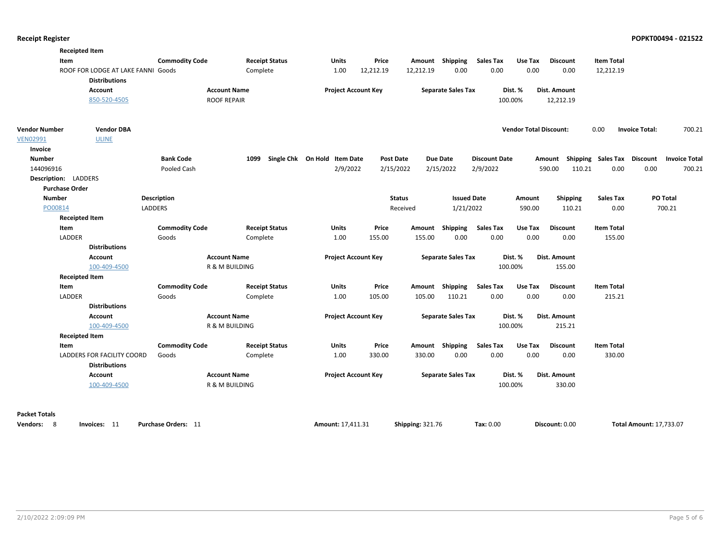| <b>Receipted Item</b>           |                                    |                           |                       |                              |                  |               |                           |                      |                               |                  |                    |                       |                      |
|---------------------------------|------------------------------------|---------------------------|-----------------------|------------------------------|------------------|---------------|---------------------------|----------------------|-------------------------------|------------------|--------------------|-----------------------|----------------------|
| Item                            |                                    | <b>Commodity Code</b>     | <b>Receipt Status</b> | Units                        | Price            |               | Amount Shipping           | <b>Sales Tax</b>     | Use Tax                       | <b>Discount</b>  | <b>Item Total</b>  |                       |                      |
|                                 | ROOF FOR LODGE AT LAKE FANNI Goods |                           | Complete              | 1.00                         | 12,212.19        | 12,212.19     | 0.00                      | 0.00                 | 0.00                          | 0.00             | 12,212.19          |                       |                      |
|                                 | <b>Distributions</b>               |                           |                       |                              |                  |               |                           |                      |                               |                  |                    |                       |                      |
| <b>Account</b>                  |                                    | <b>Account Name</b>       |                       | <b>Project Account Key</b>   |                  |               | <b>Separate Sales Tax</b> |                      | Dist. %                       | Dist. Amount     |                    |                       |                      |
|                                 | 850-520-4505                       | <b>ROOF REPAIR</b>        |                       |                              |                  |               |                           | 100.00%              |                               | 12,212.19        |                    |                       |                      |
| <b>Vendor Number</b>            | <b>Vendor DBA</b>                  |                           |                       |                              |                  |               |                           |                      | <b>Vendor Total Discount:</b> |                  | 0.00               | <b>Invoice Total:</b> | 700.21               |
| <b>VEN02991</b><br><b>ULINE</b> |                                    |                           |                       |                              |                  |               |                           |                      |                               |                  |                    |                       |                      |
| Invoice                         |                                    |                           |                       |                              |                  |               |                           |                      |                               |                  |                    |                       |                      |
| <b>Number</b>                   |                                    | <b>Bank Code</b>          | 1099                  | Single Chk On Hold Item Date | <b>Post Date</b> |               | <b>Due Date</b>           | <b>Discount Date</b> |                               | Amount           | Shipping Sales Tax | <b>Discount</b>       | <b>Invoice Total</b> |
| 144096916                       |                                    | Pooled Cash               |                       | 2/9/2022                     | 2/15/2022        |               | 2/15/2022                 | 2/9/2022             |                               | 590.00<br>110.21 | 0.00               | 0.00                  | 700.21               |
| Description: LADDERS            |                                    |                           |                       |                              |                  |               |                           |                      |                               |                  |                    |                       |                      |
| <b>Purchase Order</b>           |                                    |                           |                       |                              |                  |               |                           |                      |                               |                  |                    |                       |                      |
| <b>Number</b>                   | <b>Description</b>                 |                           |                       |                              |                  | <b>Status</b> | <b>Issued Date</b>        |                      | Amount                        | <b>Shipping</b>  | <b>Sales Tax</b>   | PO Total              |                      |
| PO00814                         | LADDERS                            |                           |                       |                              |                  | Received      | 1/21/2022                 |                      | 590.00                        | 110.21           | 0.00               | 700.21                |                      |
| <b>Receipted Item</b>           |                                    |                           |                       |                              |                  |               |                           |                      |                               |                  |                    |                       |                      |
| Item                            |                                    | <b>Commodity Code</b>     | <b>Receipt Status</b> | Units                        | Price            |               | Amount Shipping           | <b>Sales Tax</b>     | Use Tax                       | <b>Discount</b>  | <b>Item Total</b>  |                       |                      |
| LADDER                          | Goods                              |                           | Complete              | 1.00                         | 155.00           | 155.00        | 0.00                      | 0.00                 | 0.00                          | 0.00             | 155.00             |                       |                      |
|                                 | <b>Distributions</b>               |                           |                       |                              |                  |               |                           |                      |                               |                  |                    |                       |                      |
| Account                         |                                    | <b>Account Name</b>       |                       | <b>Project Account Key</b>   |                  |               | <b>Separate Sales Tax</b> |                      | Dist. %                       | Dist. Amount     |                    |                       |                      |
|                                 | 100-409-4500                       | R & M BUILDING            |                       |                              |                  |               |                           | 100.00%              |                               | 155.00           |                    |                       |                      |
| <b>Receipted Item</b>           |                                    |                           |                       |                              |                  |               |                           |                      |                               |                  |                    |                       |                      |
| <b>Item</b>                     |                                    | <b>Commodity Code</b>     | <b>Receipt Status</b> | <b>Units</b>                 | Price            | Amount        | <b>Shipping</b>           | <b>Sales Tax</b>     | Use Tax                       | <b>Discount</b>  | <b>Item Total</b>  |                       |                      |
| LADDER                          | Goods                              |                           | Complete              | 1.00                         | 105.00           | 105.00        | 110.21                    | 0.00                 | 0.00                          | 0.00             | 215.21             |                       |                      |
|                                 | <b>Distributions</b>               |                           |                       |                              |                  |               |                           |                      |                               |                  |                    |                       |                      |
| <b>Account</b>                  |                                    | <b>Account Name</b>       |                       | <b>Project Account Key</b>   |                  |               | <b>Separate Sales Tax</b> |                      | Dist. %                       | Dist. Amount     |                    |                       |                      |
|                                 | 100-409-4500                       | R & M BUILDING            |                       |                              |                  |               |                           | 100.00%              |                               | 215.21           |                    |                       |                      |
| <b>Receipted Item</b>           |                                    |                           |                       |                              |                  |               |                           |                      |                               |                  |                    |                       |                      |
| Item                            |                                    | <b>Commodity Code</b>     | <b>Receipt Status</b> | Units                        | Price            |               | Amount Shipping           | <b>Sales Tax</b>     | Use Tax                       | <b>Discount</b>  | <b>Item Total</b>  |                       |                      |
| LADDERS FOR FACILITY COORD      | Goods<br><b>Distributions</b>      |                           | Complete              | 1.00                         | 330.00           | 330.00        | 0.00                      | 0.00                 | 0.00                          | 0.00             | 330.00             |                       |                      |
| Account                         |                                    | <b>Account Name</b>       |                       | <b>Project Account Key</b>   |                  |               | <b>Separate Sales Tax</b> |                      | Dist. %                       | Dist. Amount     |                    |                       |                      |
|                                 | 100-409-4500                       | <b>R &amp; M BUILDING</b> |                       |                              |                  |               |                           | 100.00%              |                               | 330.00           |                    |                       |                      |
| <b>Packet Totals</b>            |                                    |                           |                       |                              |                  |               |                           |                      |                               |                  |                    |                       |                      |
| Vendors: 8<br>Invoices: 11      |                                    | Purchase Orders: 11       |                       | Amount: 17,411.31            |                  |               |                           |                      |                               |                  |                    |                       |                      |